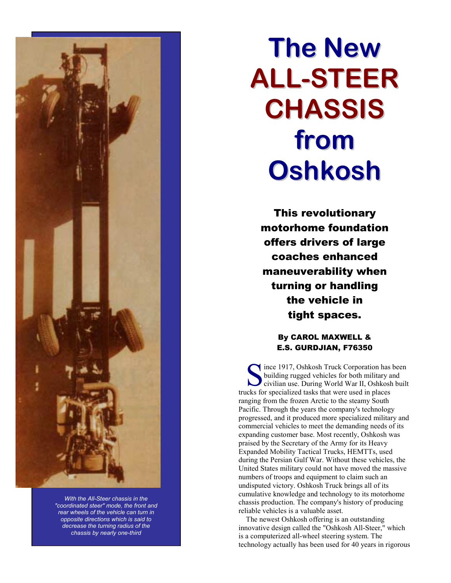

*With the All-Steer chassis in the "coordinated steer" mode, the front and rear wheels of the vehicle can turn in opposite directions which is said to decrease the turning radius of the chassis by nearly one-third*

# **The New ALL-STEER CHASSIS from Oshkosh**

This revolutionary motorhome foundation offers drivers of large coaches enhanced maneuverability when turning or handling the vehicle in tight spaces.

### By CAROL MAXWELL & E.S. GURDJIAN, F76350

since 1917, Oshkosh Truck Corporation has been<br>building rugged vehicles for both military and<br>civilian use. During World War II, Oshkosh buil building rugged vehicles for both military and civilian use. During World War II, Oshkosh built trucks for specialized tasks that were used in places ranging from the frozen Arctic to the steamy South Pacific. Through the years the company's technology progressed, and it produced more specialized military and commercial vehicles to meet the demanding needs of its expanding customer base. Most recently, Oshkosh was praised by the Secretary of the Army for its Heavy Expanded Mobility Tactical Trucks, HEMTTs, used during the Persian Gulf War. Without these vehicles, the United States military could not have moved the massive numbers of troops and equipment to claim such an undisputed victory. Oshkosh Truck brings all of its cumulative knowledge and technology to its motorhome chassis production. The company's history of producing reliable vehicles is a valuable asset.

The newest Oshkosh offering is an outstanding innovative design called the "Oshkosh All-Steer," which is a computerized all-wheel steering system. The technology actually has been used for 40 years in rigorous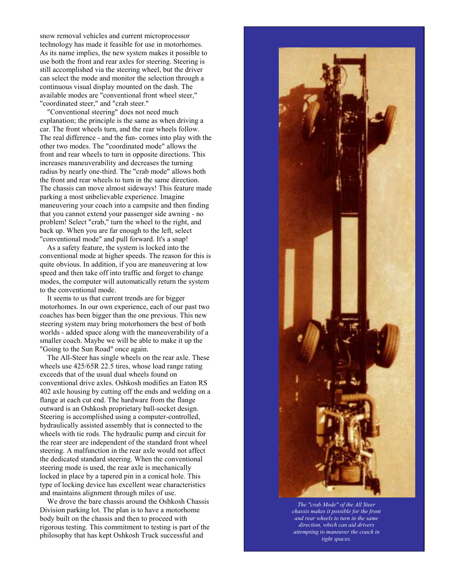snow removal vehicles and current microprocessor technology has made it feasible for use in motorhomes. As its name implies, the new system makes it possible to use both the front and rear axles for steering. Steering is still accomplished via the steering wheel, but the driver can select the mode and monitor the selection through a continuous visual display mounted on the dash. The available modes are "conventional front wheel steer," "coordinated steer," and "crab steer."

"Conventional steering" does not need much explanation; the principle is the same as when driving a car. The front wheels turn, and the rear wheels follow. The real difference - and the fun- comes into play with the other two modes. The "coordinated mode" allows the front and rear wheels to turn in opposite directions. This increases maneuverability and decreases the turning radius by nearly one-third. The "crab mode" allows both the front and rear wheels to turn in the same direction. The chassis can move almost sideways! This feature made parking a most unbelievable experience. Imagine maneuvering your coach into a campsite and then finding that you cannot extend your passenger side awning - no problem! Select "crab," turn the wheel to the right, and back up. When you are far enough to the left, select "conventional mode" and pull forward. It's a snap!

As a safety feature, the system is locked into the conventional mode at higher speeds. The reason for this is quite obvious. In addition, if you are maneuvering at low speed and then take off into traffic and forget to change modes, the computer will automatically return the system to the conventional mode.

It seems to us that current trends are for bigger motorhomes. In our own experience, each of our past two coaches has been bigger than the one previous. This new steering system may bring motorhomers the best of both worlds - added space along with the maneuverability of a smaller coach. Maybe we will be able to make it up the "Going to the Sun Road" once again.

The All-Steer has single wheels on the rear axle. These wheels use 425/65R 22.5 tires, whose load range rating exceeds that of the usual dual wheels found on conventional drive axles. Oshkosh modifies an Eaton RS 402 axle housing by cutting off the ends and welding on a flange at each cut end. The hardware from the flange outward is an Oshkosh proprietary ball-socket design. Steering is accomplished using a computer-controlled, hydraulically assisted assembly that is connected to the wheels with tie rods. The hydraulic pump and circuit for the rear steer are independent of the standard front wheel steering. A malfunction in the rear axle would not affect the dedicated standard steering. When the conventional steering mode is used, the rear axle is mechanically locked in place by a tapered pin in a conical hole. This type of locking device has excellent wear characteristics and maintains alignment through miles of use.

We drove the bare chassis around the Oshkosh Chassis Division parking lot. The plan is to have a motorhome body built on the chassis and then to proceed with rigorous testing. This commitment to testing is part of the philosophy that has kept Oshkosh Truck successful and



*The "crab Mode" of the All Steer chassis makes it possible for the front and rear wheels to turn in the same direction, which can aid drivers attempting to maneuver the coach in tight spaces.*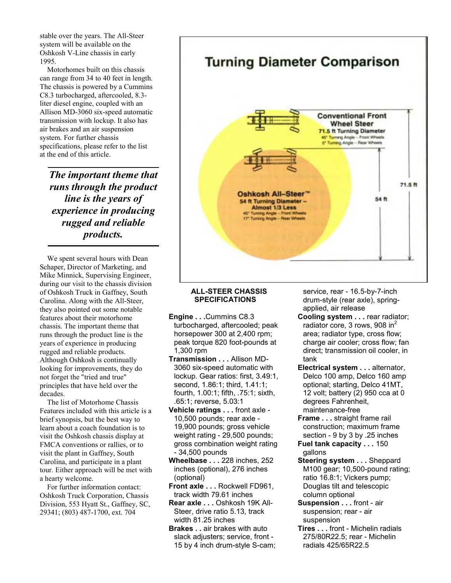stable over the years. The All-Steer system will be available on the Oshkosh V-Line chassis in early 1995.

Motorhomes built on this chassis can range from 34 to 40 feet in length. The chassis is powered by a Cummins C8.3 turbocharged, aftercooled, 8.3 liter diesel engine, coupled with an Allison MD-3060 six-speed automatic transmission with lockup. It also has air brakes and an air suspension system. For further chassis specifications, please refer to the list at the end of this article.

*The important theme that runs through the product line is the years of experience in producing rugged and reliable products.*

We spent several hours with Dean Schaper, Director of Marketing, and Mike Minnick, Supervising Engineer, during our visit to the chassis division of Oshkosh Truck in Gaffney, South Carolina. Along with the All-Steer, they also pointed out some notable features about their motorhome chassis. The important theme that runs through the product line is the years of experience in producing rugged and reliable products. Although Oshkosh is continually looking for improvements, they do not forget the "tried and true" principles that have held over the decades.

The list of Motorhome Chassis Features included with this article is a brief synopsis, but the best way to learn about a coach foundation is to visit the Oshkosh chassis display at FMCA conventions or rallies, or to visit the plant in Gaffney, South Carolina, and participate in a plant tour. Either approach will be met with a hearty welcome.

For further information contact: Oshkosh Truck Corporation, Chassis Division, 553 Hyatt St., Gaffney, SC, 29341; (803) 487-1700, ext. 704

## **Turning Diameter Comparison**



#### **ALL-STEER CHASSIS SPECIFICATIONS**

- **Engine . . .**Cummins C8.3 turbocharged, aftercooled; peak horsepower 300 at 2,400 rpm; peak torque 820 foot-pounds at 1,300 rpm
- **Transmission . . .** Allison MD-3060 six-speed automatic with lockup. Gear ratios: first, 3.49:1, second, 1.86:1; third, 1.41:1; fourth, 1.00:1; fifth, .75:1; sixth, .65:1; reverse, 5.03:1
- **Vehicle ratings . . .** front axle 10,500 pounds; rear axle - 19,900 pounds; gross vehicle weight rating - 29,500 pounds; gross combination weight rating - 34,500 pounds
- **Wheelbase . . .** 228 inches, 252 inches (optional), 276 inches (optional)
- **Front axle . . .** Rockwell FD961, track width 79.61 inches
- **Rear axle . . .** Oshkosh 19K All-Steer, drive ratio 5.13, track width 81.25 inches
- **Brakes . .** air brakes with auto slack adjusters; service, front - 15 by 4 inch drum-style S-cam;

service, rear - 16.5-by-7-inch drum-style (rear axle), springapplied, air release

- **Cooling system . . .** rear radiator; radiator core, 3 rows, 908  $in^2$ area; radiator type, cross flow; charge air cooler; cross flow; fan direct; transmission oil cooler, in tank
- **Electrical system . . .** alternator, Delco 100 amp, Delco 160 amp optional; starting, Delco 41MT, 12 volt; battery (2) 950 cca at 0 degrees Fahrenheit, maintenance-free
- **Frame . . .** straight frame rail construction; maximum frame section - 9 by 3 by .25 inches
- **Fuel tank capacity . . .** 150 gallons
- **Steering system . . .** Sheppard M100 gear; 10,500-pound rating; ratio 16.8:1; Vickers pump; Douglas tilt and telescopic column optional
- **Suspension . . .** front air suspension; rear - air suspension
- **Tires . . .** front Michelin radials 275/80R22.5; rear - Michelin radials 425/65R22.5